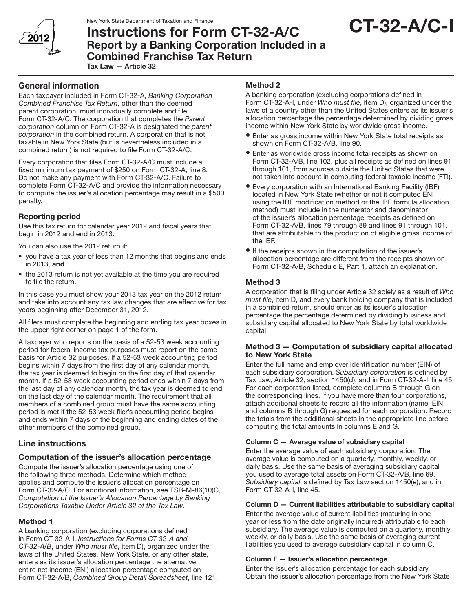

New York State Department of Taxation and Finance

# CT-32-A/C-I

## Instructions for Form CT-32-A/C Report by a Banking Corporation Included in a Combined Franchise Tax Return Tax Law — Article 32

## General information

Each taxpayer included in Form CT-32-A, *Banking Corporation Combined Franchise Tax Return*, other than the deemed parent corporation, must individually complete and file Form CT-32-A/C. The corporation that completes the *Parent corporation* column on Form CT-32-A is designated the *parent corporation* in the combined return. A corporation that is not taxable in New York State (but is nevertheless included in a combined return) is not required to file Form CT-32-A/C.

Every corporation that files Form CT-32-A/C must include a fixed minimum tax payment of \$250 on Form CT-32-A, line 8. Do not make any payment with Form CT-32-A/C. Failure to complete Form CT-32-A/C and provide the information necessary to compute the issuer's allocation percentage may result in a \$500 penalty.

## Reporting period

Use this tax return for calendar year 2012 and fiscal years that begin in 2012 and end in 2013.

You can also use the 2012 return if:

- you have a tax year of less than 12 months that begins and ends in 2013, and
- the 2013 return is not yet available at the time you are required to file the return.

In this case you must show your 2013 tax year on the 2012 return and take into account any tax law changes that are effective for tax years beginning after December 31, 2012.

All filers must complete the beginning and ending tax year boxes in the upper right corner on page 1 of the form.

A taxpayer who reports on the basis of a 52-53 week accounting period for federal income tax purposes must report on the same basis for Article 32 purposes. If a 52-53 week accounting period begins within 7 days from the first day of any calendar month, the tax year is deemed to begin on the first day of that calendar month. If a 52-53 week accounting period ends within 7 days from the last day of any calendar month, the tax year is deemed to end on the last day of the calendar month. The requirement that all members of a combined group must have the same accounting period is met if the 52-53 week filer's accounting period begins and ends within 7 days of the beginning and ending dates of the other members of the combined group.

## Line instructions

## Computation of the issuer's allocation percentage

Compute the issuer's allocation percentage using one of the following three methods. Determine which method applies and compute the issuer's allocation percentage on Form CT-32-A/C. For additional information, see TSB-M-86(10)C, *Computation of the Issuer's Allocation Percentage by Banking Corporations Taxable Under Article 32 of the Tax Law*.

## Method 1

A banking corporation (excluding corporations defined in Form CT-32-A-I, *Instructions for Forms CT-32-A and CT-32-A/B*, under *Who must file*, item D), organized under the laws of the United States, New York State, or any other state, enters as its issuer's allocation percentage the alternative entire net income (ENI) allocation percentage computed on Form CT-32-A/B, *Combined Group Detail Spreadsheet*, line 121.

#### Method 2

A banking corporation (excluding corporations defined in Form CT-32-A-I, under *Who must file*, item D), organized under the laws of a country other than the United States enters as its issuer's allocation percentage the percentage determined by dividing gross income within New York State by worldwide gross income.

- Enter as gross income within New York State total receipts as shown on Form CT-32-A/B, line 90.
- Enter as worldwide gross income total receipts as shown on Form CT-32-A/B, line 102, plus all receipts as defined on lines 91 through 101, from sources outside the United States that were not taken into account in computing federal taxable income (FTI).
- Every corporation with an International Banking Facility (IBF) located in New York State (whether or not it computed ENI using the IBF modification method or the IBF formula allocation method) must include in the numerator and denominator of the issuer's allocation percentage receipts as defined on Form CT-32-A/B, lines 79 through 89 and lines 91 through 101, that are attributable to the production of eligible gross income of the IBF.
- If the receipts shown in the computation of the issuer's allocation percentage are different from the receipts shown on Form CT-32-A/B, Schedule E, Part 1, attach an explanation.

## Method 3

A corporation that is filing under Article 32 solely as a result of *Who must file*, item D, and every bank holding company that is included in a combined return, should enter as its issuer's allocation percentage the percentage determined by dividing business and subsidiary capital allocated to New York State by total worldwide capital.

#### Method 3 — Computation of subsidiary capital allocated to New York State

Enter the full name and employer identification number (EIN) of each subsidiary corporation. *Subsidiary corporation* is defined by Tax Law, Article 32, section 1450(d), and in Form CT-32-A-I, line 45. For each corporation listed, complete columns B through G on the corresponding lines. If you have more than four corporations, attach additional sheets to record all the information (name, EIN, and columns B through G) requested for each corporation. Record the totals from the additional sheets in the appropriate line before computing the total amounts in columns E and G.

#### Column C — Average value of subsidiary capital

Enter the average value of each subsidiary corporation. The average value is computed on a quarterly, monthly, weekly, or daily basis. Use the same basis of averaging subsidiary capital you used to average total assets on Form CT-32-A/B, line 69. *Subsidiary capital* is defined by Tax Law section 1450(e), and in Form CT-32-A-I, line 45.

#### Column D — Current liabilities attributable to subsidiary capital

Enter the average value of current liabilities (maturing in one year or less from the date originally incurred) attributable to each subsidiary. The average value is computed on a quarterly, monthly, weekly, or daily basis. Use the same basis of averaging current liabilities you used to average subsidiary capital in column C.

#### Column F — Issuer's allocation percentage

Enter the issuer's allocation percentage for each subsidiary. Obtain the issuer's allocation percentage from the New York State